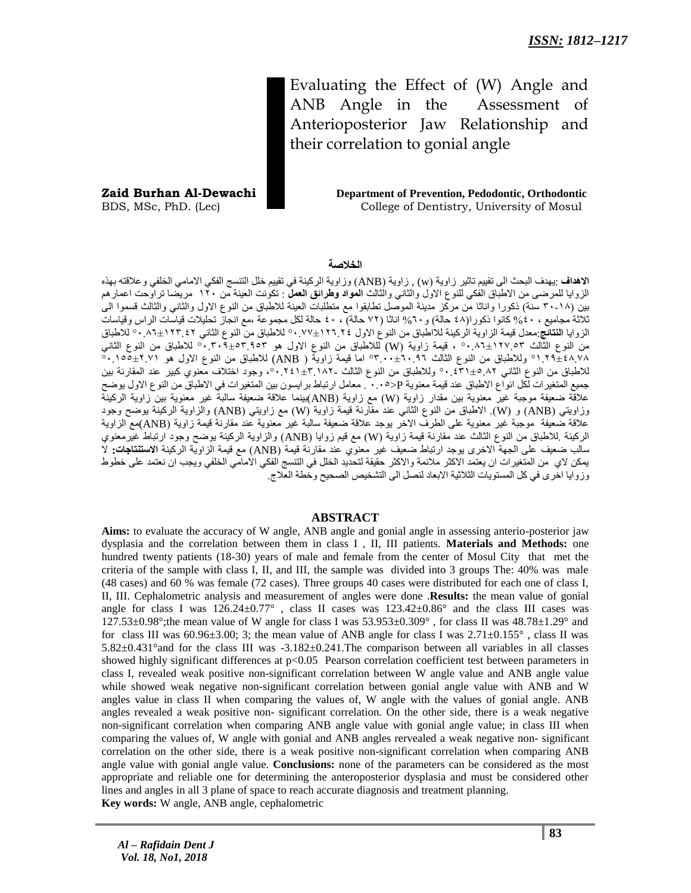Evaluating the Effect of (W) Angle and ANB Angle in the Assessment of Anterioposterior Jaw Relationship and their correlation to gonial angle

**Zaid Burhan Al-Dewachi Department of Prevention, Pedodontic, Orthodontic**  BDS, MSc, PhD. (Lec) **College of Dentistry, University of Mosul** 

## **الخالصة**

**الاهداف** :يهدف البحث الى تقييم تاثير زاوية (w) , زاوية (ANB) وزاوية الركينة في تقييم خلل التنسج الفكي الإمامي الخلفي وعلاقته بهذه الزوايا للمرضى من الاطباق الفكي للنوع الاول والثاني والثالث ا**لمواد وطرائق العمل** : تكونت العيِنة من ١٢٠ مريضا تراوحت اعمارهم بين (١٨-٣٠ سنة) ذكورا واناثا من مركز مدينة الموصل تطابقوا مع متطلبات العينة للاطباق من النوع الاول والثاني والثالث قسموا المي ثلاثة مجاميع ، 61% كانوا ذكورا(٤٨ حالة) و 71% اناثا (٢٢ حالة) ، ٤٠ حالة لكل مجموعة ،مع انجاز تحليلات قياسات الراس وقياسات الزوايا ا**لنتائج**:معذل قيمة الزاوية الركينة للااطباق من النوع الاول ١٢٦.٢٤±0. • ° للاطباق من النوع الثاني ٢٢. 117±0. • ° للاطباق من النوع الثّالث °0.101±02.1 ، ° ، قيمة زاوية (W) لللاطباق من النوع الاول هو °0.100±00. • للاطباق من النوع الثاني °062.±01621 َنالطباق مه انىُع انثانث °0611±016.0 اما قٕمة صأَة ) ANB (نالطباق مه انىُع االَل ٌُ °16022±2620 للاطباق من النوع الثاني 0.^0±2.1° َوللاطباق من النوع الثالث ـ١٨٢٦\_٢٤١. °C، وجود اختلاف معنوي كبير عند المقارنة بين جميع المتغيرات لكل انواع الاطباق عند قيمة معنوية P>10. • معامل ارتباط برايسون بين المتغيرات في الاطباق من النوع الاول يوضح علاقة ضعيفة موجبة غير معنوية بين مقدار زاوية (W) مع زاوية (ANB)بينما علاقة ضعيفة سالبة غير معنوية بينَّ زاويَّة الركينة وزاويتي (ANB) و (W). الاطباق من النوع الثاني عند مقارنة قيمة زاوية (W) مع زاويتي (ANB) والزاوية الركينة بوضح وجود علاقة صُعْفِفة مُوجبة غير معنوية على الطرف الاخر بوجد علاقة ضعيفة سالبة غير معنوية عُندُ مقارنةً قيمة زاوية (ANB)مع الزاوية الركينة ِ للاطباق من النوع الثالث عند مقارنة قيمة زاوية (W) مع قيم زوايا (ANB) والزاوية الركينة بوضح وجود ارتباط غيرمعنوي سالب ضعيف على الجهة الاخرى يوجد ارتباط ضعيف غير معنوي عند مقارنة قيمة (ANB) مع قيمة الزاوية الركينة ا**لاستنتاجات:** لا بمكن لاي من المتغيرات ان يعتمد الاكثر ملائمة والاكثر حقيقة لتحديد الخلل في التنسج الفكي الامامي الخلفي ويجب ان نعتمد على خطوط وزوايا اخرى في كل المستويات الثلاثية الابعاد لنصل الى التشخيص الصحيح وخطة العلاج.

### **ABSTRACT**

**Aims:** to evaluate the accuracy of W angle, ANB angle and gonial angle in assessing anterio-posterior jaw dysplasia and the correlation between them in class I , II, III patients. **Materials and Methods:** one hundred twenty patients (18-30) years of male and female from the center of Mosul City that met the criteria of the sample with class I, II, and III, the sample was divided into 3 groups The: 40% was male (48 cases) and 60 % was female (72 cases). Three groups 40 cases were distributed for each one of class I, II, III. Cephalometric analysis and measurement of angles were done .**Results:** the mean value of gonial angle for class I was  $126.24 \pm 0.77$ °, class II cases was  $123.42 \pm 0.86$ ° and the class III cases was  $127.53\pm0.98^{\circ}$ ;the mean value of W angle for class I was  $53.953\pm0.309^{\circ}$ , for class II was  $48.78\pm1.29^{\circ}$  and for class III was  $60.96\pm3.00$ ; 3; the mean value of ANB angle for class I was  $2.71\pm0.155^{\circ}$ , class II was 5.82±0.431°and for the class III was -3.182±0.241.The comparison between all variables in all classes showed highly significant differences at  $p<0.05$  Pearson correlation coefficient test between parameters in class I, revealed weak positive non-significant correlation between W angle value and ANB angle value while showed weak negative non-significant correlation between gonial angle value with ANB and W angles value in class II when comparing the values of, W angle with the values of gonial angle. ANB angles revealed a weak positive non- significant correlation. On the other side, there is a weak negative non-significant correlation when comparing ANB angle value with gonial angle value; in class III when comparing the values of, W angle with gonial and ANB angles rervealed a weak negative non- significant correlation on the other side, there is a weak positive non-significant correlation when comparing ANB angle value with gonial angle value. **Conclusions:** none of the parameters can be considered as the most appropriate and reliable one for determining the anteroposterior dysplasia and must be considered other lines and angles in all 3 plane of space to reach accurate diagnosis and treatment planning. **Key words:** W angle, ANB angle, cephalometric

*Al – Rafidain Dent J Vol. 18, No1, 2018*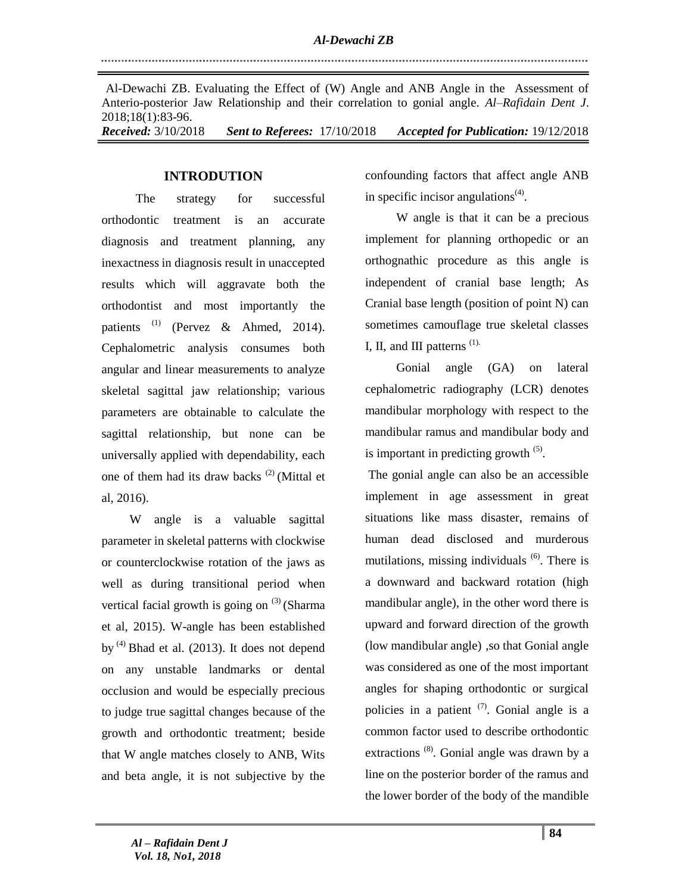Al-Dewachi ZB. Evaluating the Effect of (W) Angle and ANB Angle in the Assessment of Anterio-posterior Jaw Relationship and their correlation to gonial angle. *Al–Rafidain Dent J*. 2018;18(1):83-96.

*Received:* 3/10/2018 *Sent to Referees:* 17/10/2018 *Accepted for Publication:* 19/12/2018

## **INTRODUTION**

 The strategy for successful orthodontic treatment is an accurate diagnosis and treatment planning, any inexactness in diagnosis result in unaccepted results which will aggravate both the orthodontist and most importantly the patients <sup>(1)</sup> (Pervez & Ahmed, 2014). Cephalometric analysis consumes both angular and linear measurements to analyze skeletal sagittal jaw relationship; various parameters are obtainable to calculate the sagittal relationship, but none can be universally applied with dependability, each one of them had its draw backs  $(2)$  (Mittal et al, 2016).

 W angle is a valuable sagittal parameter in skeletal patterns with clockwise or counterclockwise rotation of the jaws as well as during transitional period when vertical facial growth is going on  $(3)$  (Sharma et al, 2015). W-angle has been established by  $(4)$  Bhad et al. (2013). It does not depend on any unstable landmarks or dental occlusion and would be especially precious to judge true sagittal changes because of the growth and orthodontic treatment; beside that W angle matches closely to ANB, Wits and beta angle, it is not subjective by the

confounding factors that affect angle ANB in specific incisor angulations $(4)$ .

 W angle is that it can be a precious implement for planning orthopedic or an orthognathic procedure as this angle is independent of cranial base length; As Cranial base length (position of point N) can sometimes camouflage true skeletal classes I, II, and III patterns  $(1)$ .

 Gonial angle (GA) on lateral cephalometric radiography (LCR) denotes mandibular morphology with respect to the mandibular ramus and mandibular body and is important in predicting growth  $(5)$ .

The gonial angle can also be an accessible implement in age assessment in great situations like mass disaster, remains of human dead disclosed and murderous mutilations, missing individuals <sup>(6)</sup>. There is a downward and backward rotation (high mandibular angle), in the other word there is upward and forward direction of the growth (low mandibular angle) ,so that Gonial angle was considered as one of the most important angles for shaping orthodontic or surgical policies in a patient  $(7)$ . Gonial angle is a common factor used to describe orthodontic extractions<sup>(8)</sup>. Gonial angle was drawn by a line on the posterior border of the ramus and the lower border of the body of the mandible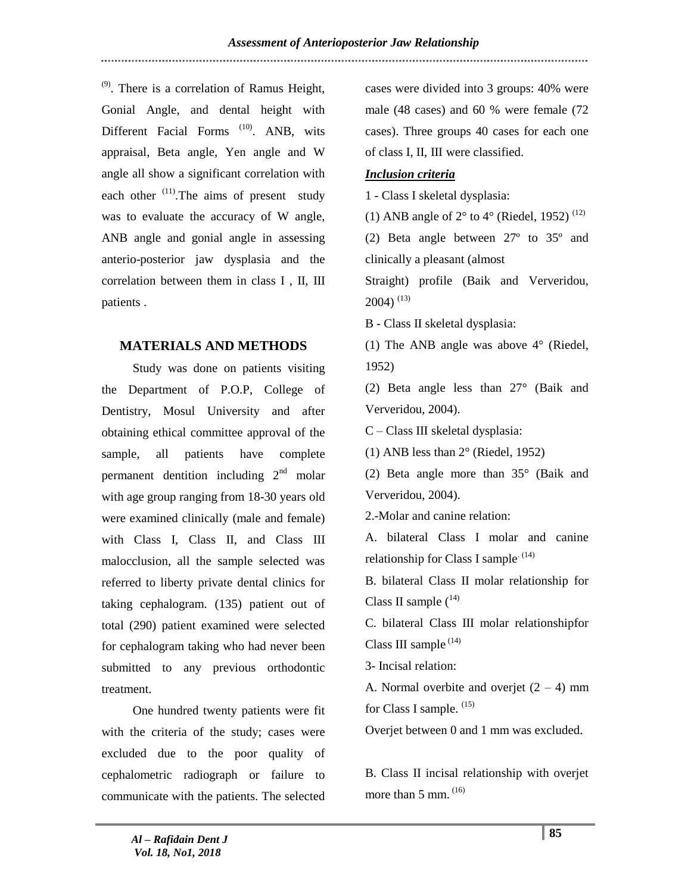$<sup>(9)</sup>$ . There is a correlation of Ramus Height,</sup> Gonial Angle, and dental height with Different Facial Forms<sup>(10)</sup>. ANB, wits appraisal, Beta angle, Yen angle and W angle all show a significant correlation with each other  $(11)$ . The aims of present study was to evaluate the accuracy of W angle, ANB angle and gonial angle in assessing anterio-posterior jaw dysplasia and the correlation between them in class I , II, III patients .

# **MATERIALS AND METHODS**

 Study was done on patients visiting the Department of P.O.P, College of Dentistry, Mosul University and after obtaining ethical committee approval of the sample, all patients have complete permanent dentition including  $2<sup>nd</sup>$  molar with age group ranging from 18-30 years old were examined clinically (male and female) with Class I, Class II, and Class III malocclusion, all the sample selected was referred to liberty private dental clinics for taking cephalogram. (135) patient out of total (290) patient examined were selected for cephalogram taking who had never been submitted to any previous orthodontic treatment.

 One hundred twenty patients were fit with the criteria of the study; cases were excluded due to the poor quality of cephalometric radiograph or failure to communicate with the patients. The selected cases were divided into 3 groups: 40% were male (48 cases) and 60 % were female (72 cases). Three groups 40 cases for each one of class I, II, III were classified.

# *Inclusion criteria*

1 - Class I skeletal dysplasia:

(1) ANB angle of  $2^{\circ}$  to  $4^{\circ}$  (Riedel, 1952)<sup>(12)</sup>

(2) Beta angle between 27º to 35º and clinically a pleasant (almost

Straight) profile (Baik and Ververidou,  $2004$ )<sup>(13)</sup>

B - Class II skeletal dysplasia:

(1) The ANB angle was above 4° (Riedel, 1952)

(2) Beta angle less than 27° (Baik and Ververidou, 2004).

C – Class III skeletal dysplasia:

(1) ANB less than 2° (Riedel, 1952)

(2) Beta angle more than 35° (Baik and Ververidou, 2004).

2.-Molar and canine relation:

A. bilateral Class I molar and canine relationship for Class I sample.  $(14)$ 

B. bilateral Class II molar relationship for Class II sample  $(14)$ 

C. bilateral Class III molar relationshipfor Class III sample (14)

3- Incisal relation:

A. Normal overbite and overjet  $(2 – 4)$  mm for Class I sample. (15)

Overjet between 0 and 1 mm was excluded.

B. Class II incisal relationship with overjet more than  $5 \text{ mm}$ .  $^{(16)}$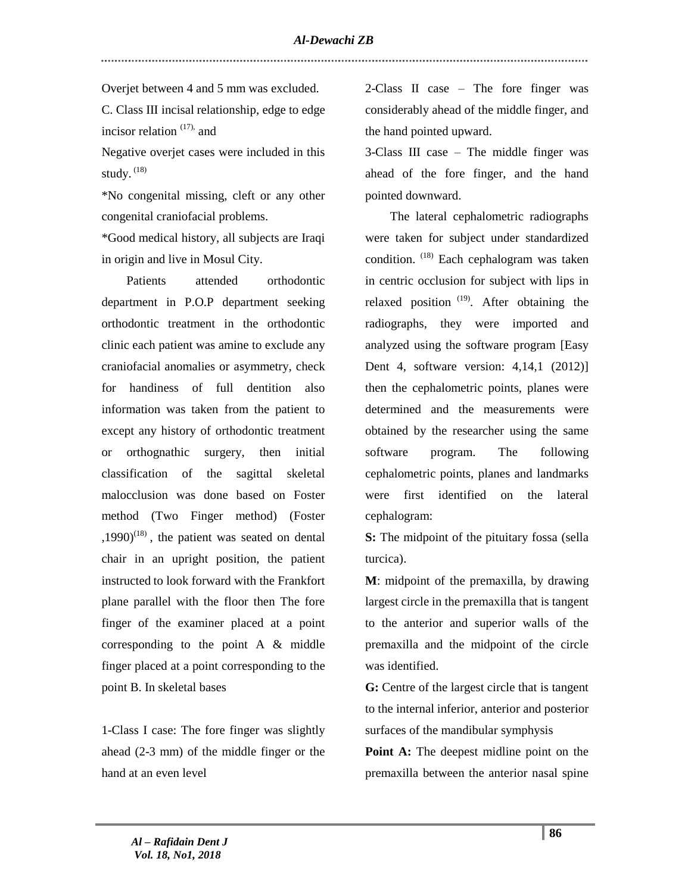Overjet between 4 and 5 mm was excluded.

C. Class III incisal relationship, edge to edge incisor relation  $(17)$ , and

Negative overjet cases were included in this study.  $^{(18)}$ 

\*No congenital missing, cleft or any other congenital craniofacial problems.

\*Good medical history, all subjects are Iraqi in origin and live in Mosul City.

 Patients attended orthodontic department in P.O.P department seeking orthodontic treatment in the orthodontic clinic each patient was amine to exclude any craniofacial anomalies or asymmetry, check for handiness of full dentition also information was taken from the patient to except any history of orthodontic treatment or orthognathic surgery, then initial classification of the sagittal skeletal malocclusion was done based on Foster method (Two Finger method) (Foster  $(1990)^{(18)}$ , the patient was seated on dental chair in an upright position, the patient instructed to look forward with the Frankfort plane parallel with the floor then The fore finger of the examiner placed at a point corresponding to the point A & middle finger placed at a point corresponding to the point B. In skeletal bases

1-Class I case: The fore finger was slightly ahead (2-3 mm) of the middle finger or the hand at an even level

2-Class II case – The fore finger was considerably ahead of the middle finger, and the hand pointed upward.

3-Class III case – The middle finger was ahead of the fore finger, and the hand pointed downward.

 The lateral cephalometric radiographs were taken for subject under standardized condition. <sup>(18)</sup> Each cephalogram was taken in centric occlusion for subject with lips in relaxed position  $(19)$ . After obtaining the radiographs, they were imported and analyzed using the software program [Easy Dent 4, software version: 4,14,1 (2012)] then the cephalometric points, planes were determined and the measurements were obtained by the researcher using the same software program. The following cephalometric points, planes and landmarks were first identified on the lateral cephalogram:

**S:** The midpoint of the pituitary fossa (sella turcica).

**M**: midpoint of the premaxilla, by drawing largest circle in the premaxilla that is tangent to the anterior and superior walls of the premaxilla and the midpoint of the circle was identified.

**G:** Centre of the largest circle that is tangent to the internal inferior, anterior and posterior surfaces of the mandibular symphysis

**Point A:** The deepest midline point on the premaxilla between the anterior nasal spine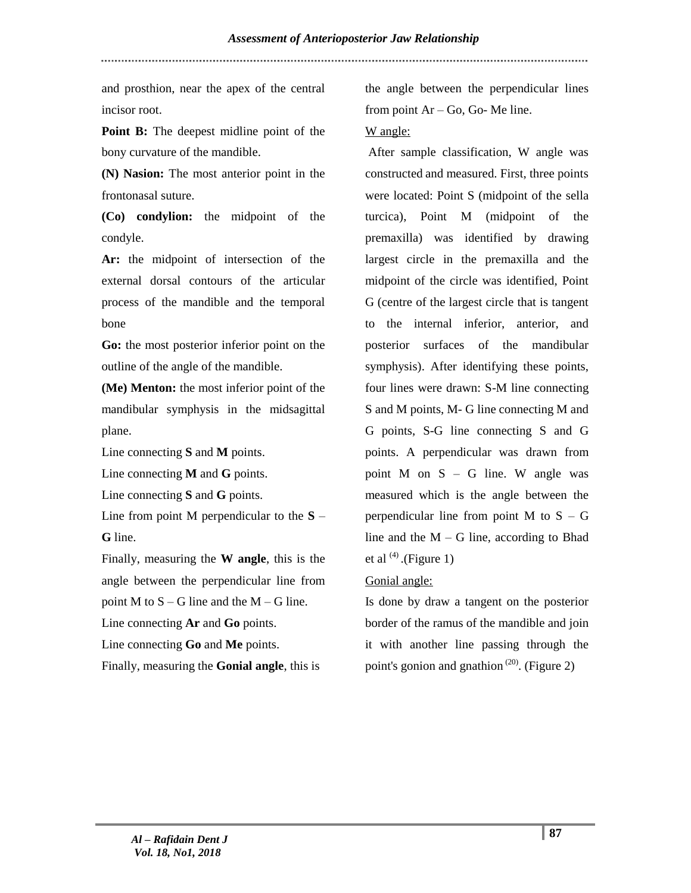and prosthion, near the apex of the central incisor root.

**Point B:** The deepest midline point of the bony curvature of the mandible.

**(N) Nasion:** The most anterior point in the frontonasal suture.

**(Co) condylion:** the midpoint of the condyle.

**Ar:** the midpoint of intersection of the external dorsal contours of the articular process of the mandible and the temporal bone

**Go:** the most posterior inferior point on the outline of the angle of the mandible.

**(Me) Menton:** the most inferior point of the mandibular symphysis in the midsagittal plane.

Line connecting **S** and **M** points.

Line connecting **M** and **G** points.

Line connecting **S** and **G** points.

Line from point M perpendicular to the **S** – **G** line.

Finally, measuring the **W angle**, this is the angle between the perpendicular line from point M to  $S - G$  line and the M – G line.

Line connecting **Ar** and **Go** points.

Line connecting **Go** and **Me** points.

Finally, measuring the **Gonial angle**, this is

the angle between the perpendicular lines from point  $Ar - Go$ ,  $Go$ - Me line.

# W angle:

After sample classification, W angle was constructed and measured. First, three points were located: Point S (midpoint of the sella turcica), Point M (midpoint of the premaxilla) was identified by drawing largest circle in the premaxilla and the midpoint of the circle was identified, Point G (centre of the largest circle that is tangent to the internal inferior, anterior, and posterior surfaces of the mandibular symphysis). After identifying these points, four lines were drawn: S-M line connecting S and M points, M- G line connecting M and G points, S-G line connecting S and G points. A perpendicular was drawn from point M on  $S - G$  line. W angle was measured which is the angle between the perpendicular line from point M to  $S - G$ line and the  $M - G$  line, according to Bhad et al  $^{(4)}$ .(Figure 1)

# Gonial angle:

Is done by draw a tangent on the posterior border of the ramus of the mandible and join it with another line passing through the point's gonion and gnathion  $(20)$ . (Figure 2)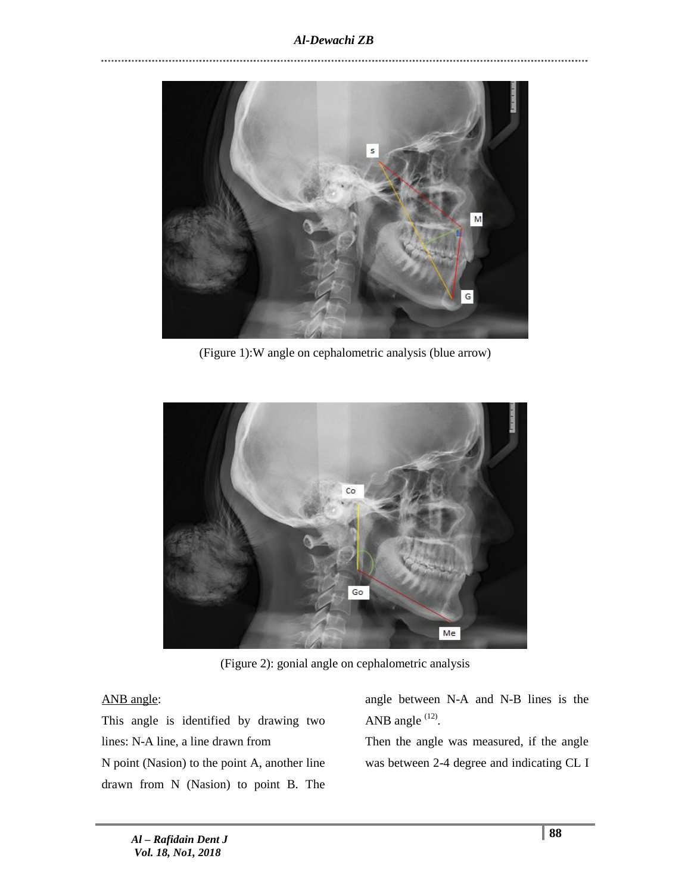

(Figure 1):W angle on cephalometric analysis (blue arrow)



(Figure 2): gonial angle on cephalometric analysis

## ANB angle:

This angle is identified by drawing two lines: N-A line, a line drawn from N point (Nasion) to the point A, another line drawn from N (Nasion) to point B. The

angle between N-A and N-B lines is the ANB angle  $^{(12)}$ .

Then the angle was measured, if the angle was between 2-4 degree and indicating CL I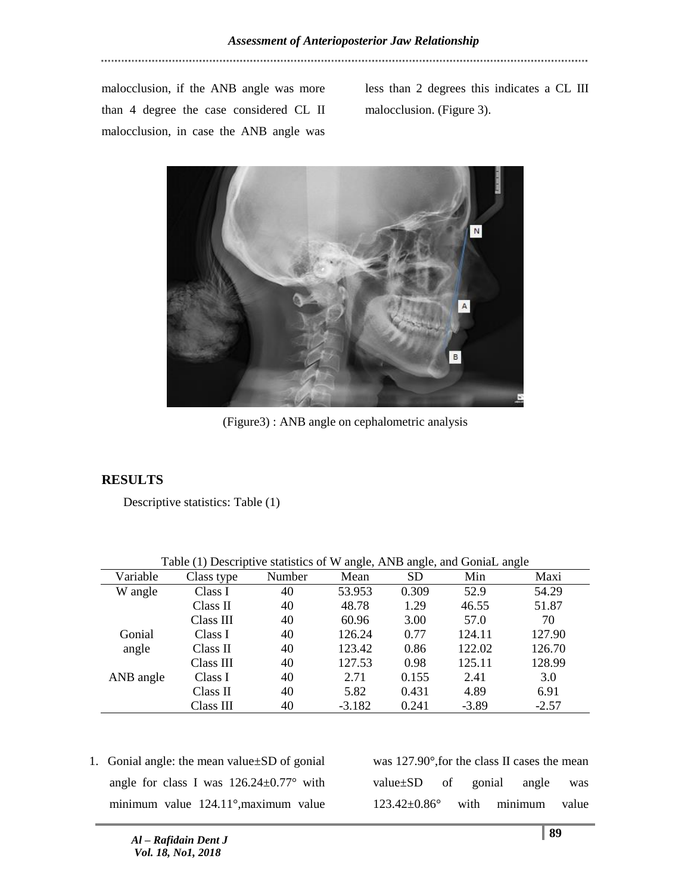malocclusion, if the ANB angle was more than 4 degree the case considered CL II malocclusion, in case the ANB angle was

less than 2 degrees this indicates a CL III malocclusion. (Figure 3).



(Figure3) : ANB angle on cephalometric analysis

# **RESULTS**

Descriptive statistics: Table (1)

|           |            |        |          | ັ         |         | ັ       |
|-----------|------------|--------|----------|-----------|---------|---------|
| Variable  | Class type | Number | Mean     | <b>SD</b> | Min     | Maxi    |
| W angle   | Class I    | 40     | 53.953   | 0.309     | 52.9    | 54.29   |
|           | Class II   | 40     | 48.78    | 1.29      | 46.55   | 51.87   |
|           | Class III  | 40     | 60.96    | 3.00      | 57.0    | 70      |
| Gonial    | Class I    | 40     | 126.24   | 0.77      | 124.11  | 127.90  |
| angle     | Class II   | 40     | 123.42   | 0.86      | 122.02  | 126.70  |
|           | Class III  | 40     | 127.53   | 0.98      | 125.11  | 128.99  |
| ANB angle | Class I    | 40     | 2.71     | 0.155     | 2.41    | 3.0     |
|           | Class II   | 40     | 5.82     | 0.431     | 4.89    | 6.91    |
|           | Class III  | 40     | $-3.182$ | 0.241     | $-3.89$ | $-2.57$ |

Table (1) Descriptive statistics of W angle, ANB angle, and GoniaL angle

1. Gonial angle: the mean value±SD of gonial angle for class I was 126.24±0.77° with minimum value 124.11°,maximum value was 127.90°, for the class II cases the mean value±SD of gonial angle was 123.42±0.86° with minimum value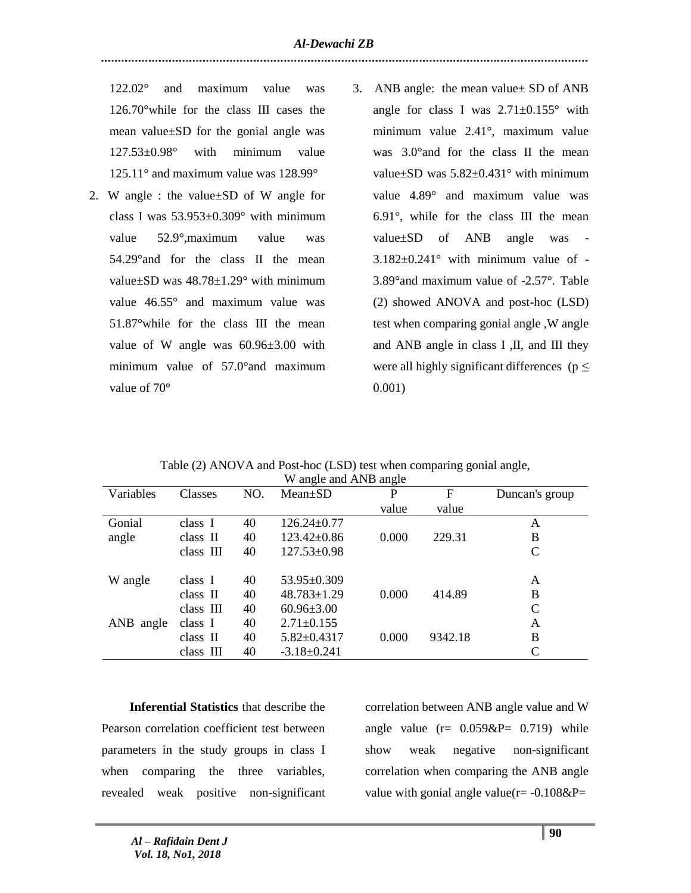122.02° and maximum value was 126.70°while for the class III cases the mean value±SD for the gonial angle was 127.53±0.98° with minimum value 125.11° and maximum value was 128.99°

- 2. W angle : the value±SD of W angle for class I was 53.953±0.309° with minimum value 52.9°,maximum value was 54.29°and for the class II the mean value $\pm$ SD was  $48.78\pm1.29^{\circ}$  with minimum value 46.55° and maximum value was 51.87°while for the class III the mean value of W angle was 60.96±3.00 with minimum value of 57.0°and maximum value of 70°
- 3. ANB angle: the mean value± SD of ANB angle for class I was  $2.71 \pm 0.155$ ° with minimum value 2.41°, maximum value was 3.0°and for the class II the mean value $\pm$ SD was 5.82 $\pm$ 0.431° with minimum value 4.89° and maximum value was 6.91°, while for the class III the mean value $\pm$ SD of ANB angle was  $3.182\pm0.241^{\circ}$  with minimum value of -3.89°and maximum value of -2.57°. Table (2) showed ANOVA and post-hoc (LSD) test when comparing gonial angle ,W angle and ANB angle in class I ,II, and III they were all highly significant differences ( $p \leq$ 0.001)

| Variables    | Classes   | NO. | $\mathbf{W}$ angle and $\mathbf{W}$ angle<br>$Mean \pm SD$ | P     | F       | Duncan's group |
|--------------|-----------|-----|------------------------------------------------------------|-------|---------|----------------|
|              |           |     |                                                            | value | value   |                |
| Gonial       | class I   | 40  | $126.24 \pm 0.77$                                          |       |         | A              |
| angle        | class II  | 40  | $123.42 \pm 0.86$                                          | 0.000 | 229.31  | B              |
|              | class III | 40  | $127.53 \pm 0.98$                                          |       |         | C              |
|              |           |     |                                                            |       |         |                |
| W angle      | class I   | 40  | $53.95 \pm 0.309$                                          |       |         | A              |
|              | class II  | 40  | $48.783 \pm 1.29$                                          | 0.000 | 414.89  | B              |
|              | class III | 40  | $60.96 \pm 3.00$                                           |       |         | C              |
| ANB<br>angle | class I   | 40  | $2.71 \pm 0.155$                                           |       |         | A              |
|              | class II  | 40  | $5.82 \pm 0.4317$                                          | 0.000 | 9342.18 | B              |
|              | class III | 40  | $-3.18 \pm 0.241$                                          |       |         | $\mathsf{C}$   |

Table (2) ANOVA and Post-hoc (LSD) test when comparing gonial angle, W angle and ANB angle

 **Inferential Statistics** that describe the Pearson correlation coefficient test between parameters in the study groups in class I when comparing the three variables, revealed weak positive non-significant

correlation between ANB angle value and W angle value  $(r= 0.059 \& P= 0.719)$  while show weak negative non-significant correlation when comparing the ANB angle value with gonial angle value( $r = -0.108 \& P =$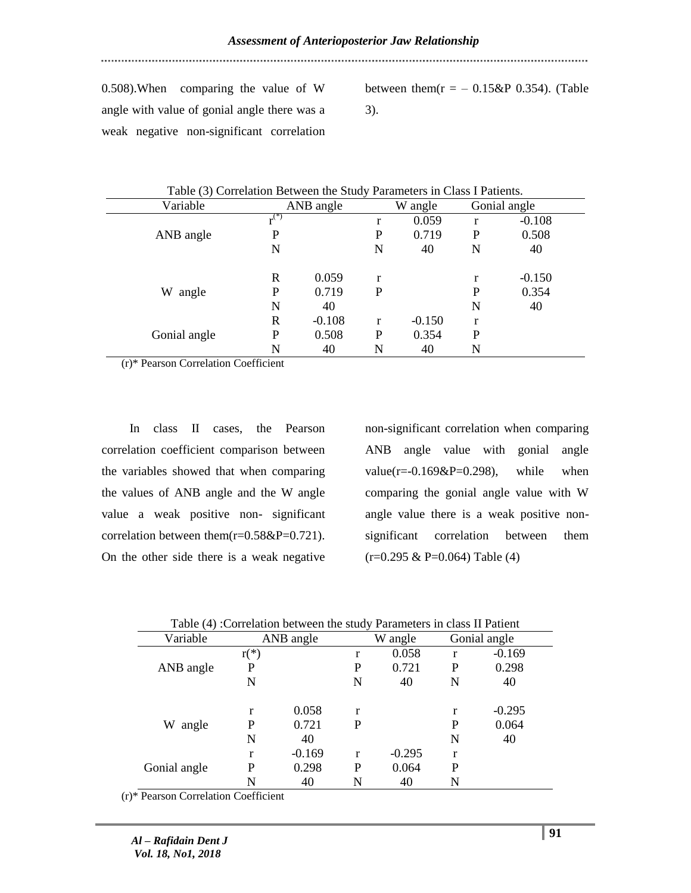0.508).When comparing the value of W angle with value of gonial angle there was a weak negative non-significant correlation between them( $r = -0.15\&P$  0.354). (Table 3).

| Table (3) Correlation Between the Study Parameters in Class I Patients. |           |           |   |          |   |              |
|-------------------------------------------------------------------------|-----------|-----------|---|----------|---|--------------|
| Variable                                                                |           | ANB angle |   | W angle  |   | Gonial angle |
|                                                                         | $r^{(*)}$ |           | r | 0.059    | r | $-0.108$     |
| ANB angle                                                               | P         |           | P | 0.719    | P | 0.508        |
|                                                                         | N         |           | N | 40       | N | 40           |
|                                                                         |           |           |   |          |   |              |
|                                                                         | R         | 0.059     | r |          | r | $-0.150$     |
| W<br>angle                                                              | P         | 0.719     | P |          | P | 0.354        |
|                                                                         | N         | 40        |   |          | N | 40           |
|                                                                         | R         | $-0.108$  | r | $-0.150$ | r |              |
| Gonial angle                                                            | P         | 0.508     | P | 0.354    | P |              |
|                                                                         | N         | 40        | N | 40       | N |              |

(r)\* Pearson Correlation Coefficient

 In class II cases, the Pearson correlation coefficient comparison between the variables showed that when comparing the values of ANB angle and the W angle value a weak positive non- significant correlation between them(r=0.58&P=0.721). On the other side there is a weak negative

non-significant correlation when comparing ANB angle value with gonial angle value( $r = -0.169$ &P=0.298), while when comparing the gonial angle value with W angle value there is a weak positive nonsignificant correlation between them  $(r=0.295 \& P=0.064)$  Table (4)

| Table (4) : Correlation between the study Parameters in class II Patient |           |          |   |          |   |              |  |  |
|--------------------------------------------------------------------------|-----------|----------|---|----------|---|--------------|--|--|
| Variable                                                                 | ANB angle |          |   | W angle  |   | Gonial angle |  |  |
|                                                                          | $r(*)$    |          | r | 0.058    | r | $-0.169$     |  |  |
| ANB angle                                                                | P         |          | P | 0.721    | P | 0.298        |  |  |
|                                                                          | N         |          | N | 40       | N | 40           |  |  |
|                                                                          |           |          |   |          |   |              |  |  |
|                                                                          | r         | 0.058    | r |          | r | $-0.295$     |  |  |
| W<br>angle                                                               | P         | 0.721    | P |          | P | 0.064        |  |  |
|                                                                          | N         | 40       |   |          | N | 40           |  |  |
|                                                                          | r         | $-0.169$ | r | $-0.295$ | r |              |  |  |
| Gonial angle                                                             | P         | 0.298    | P | 0.064    | P |              |  |  |
|                                                                          | N         | 40       | N | 40       | N |              |  |  |

(r)\* Pearson Correlation Coefficient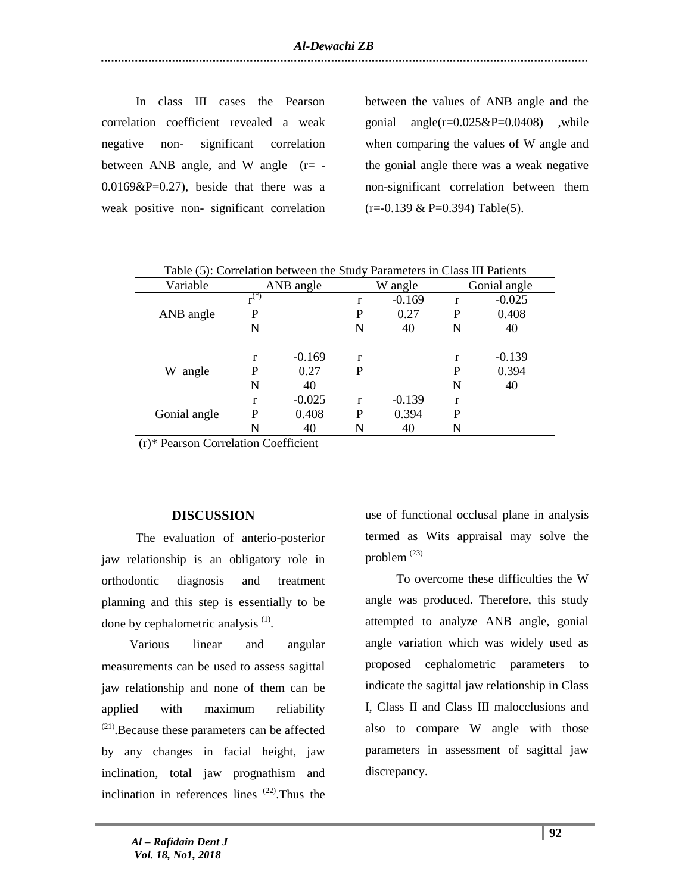## *Al-Dewachi ZB*

 In class III cases the Pearson correlation coefficient revealed a weak negative non- significant correlation between ANB angle, and W angle  $(r= 0.0169$ &P=0.27), beside that there was a weak positive non- significant correlation between the values of ANB angle and the gonial angle( $r=0.025\&P=0.0408$ ), while when comparing the values of W angle and the gonial angle there was a weak negative non-significant correlation between them  $(r=-0.139 \& P=0.394)$  Table(5).

| Table (5): Correlation between the Study Parameters in Class III Patients |           |          |   |          |              |          |  |
|---------------------------------------------------------------------------|-----------|----------|---|----------|--------------|----------|--|
| Variable                                                                  | ANB angle |          |   | W angle  | Gonial angle |          |  |
|                                                                           | $r^{(*)}$ |          | r | $-0.169$ | r            | $-0.025$ |  |
| ANB angle                                                                 | P         |          | P | 0.27     | P            | 0.408    |  |
|                                                                           | N         |          | N | 40       | N            | 40       |  |
|                                                                           |           |          |   |          |              |          |  |
|                                                                           | r         | $-0.169$ | r |          |              | $-0.139$ |  |
| W<br>angle                                                                | P         | 0.27     | P |          | P            | 0.394    |  |
|                                                                           | N         | 40       |   |          | N            | 40       |  |
|                                                                           | r         | $-0.025$ | r | $-0.139$ | r            |          |  |
| Gonial angle                                                              | P         | 0.408    | P | 0.394    | P            |          |  |
|                                                                           | N         | 40       | N | 40       | N            |          |  |

(r)\* Pearson Correlation Coefficient

## **DISCUSSION**

 The evaluation of anterio-posterior jaw relationship is an obligatory role in orthodontic diagnosis and treatment planning and this step is essentially to be done by cephalometric analysis  $(1)$ .

 Various linear and angular measurements can be used to assess sagittal jaw relationship and none of them can be applied with maximum reliability (21).Because these parameters can be affected by any changes in facial height, jaw inclination, total jaw prognathism and inclination in references lines  $(22)$ . Thus the

use of functional occlusal plane in analysis termed as Wits appraisal may solve the problem (23)

 To overcome these difficulties the W angle was produced. Therefore, this study attempted to analyze ANB angle, gonial angle variation which was widely used as proposed cephalometric parameters to indicate the sagittal jaw relationship in Class I, Class II and Class III malocclusions and also to compare W angle with those parameters in assessment of sagittal jaw discrepancy.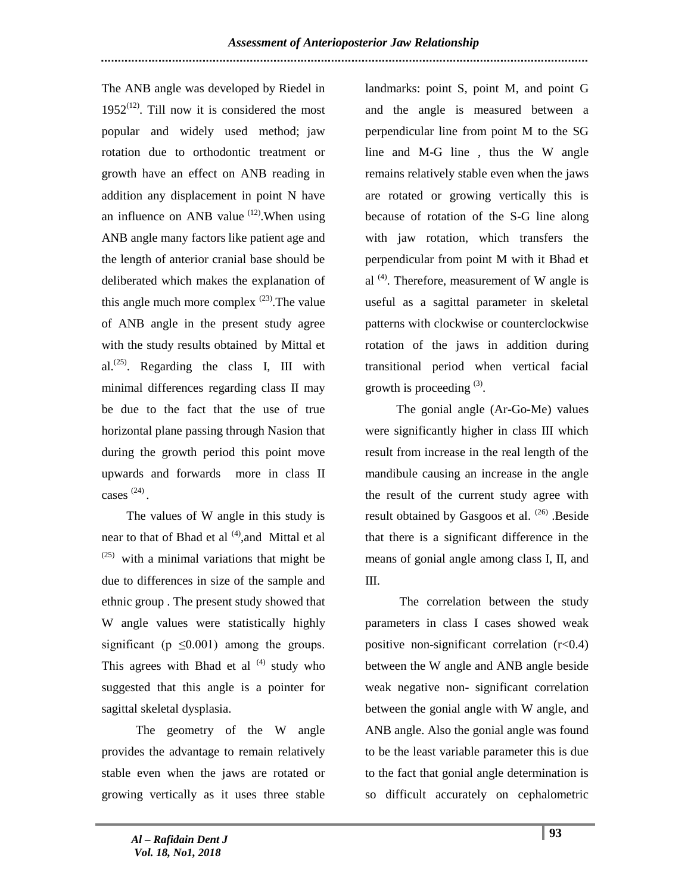The ANB angle was developed by Riedel in  $1952^{(12)}$ . Till now it is considered the most popular and widely used method; jaw rotation due to orthodontic treatment or growth have an effect on ANB reading in addition any displacement in point N have an influence on ANB value  $(12)$ . When using ANB angle many factors like patient age and the length of anterior cranial base should be deliberated which makes the explanation of this angle much more complex  $(23)$ . The value of ANB angle in the present study agree with the study results obtained by Mittal et al.<sup> $(25)$ </sup>. Regarding the class I, III with minimal differences regarding class II may be due to the fact that the use of true horizontal plane passing through Nasion that during the growth period this point move upwards and forwards more in class II cases  $^{(24)}$ .

 The values of W angle in this study is near to that of Bhad et al  $(4)$ , and Mittal et al  $(25)$  with a minimal variations that might be due to differences in size of the sample and ethnic group . The present study showed that W angle values were statistically highly significant ( $p \leq 0.001$ ) among the groups. This agrees with Bhad et al  $(4)$  study who suggested that this angle is a pointer for sagittal skeletal dysplasia.

 The geometry of the W angle provides the advantage to remain relatively stable even when the jaws are rotated or growing vertically as it uses three stable

landmarks: point S, point M, and point G and the angle is measured between a perpendicular line from point M to the SG line and M-G line , thus the W angle remains relatively stable even when the jaws are rotated or growing vertically this is because of rotation of the S-G line along with jaw rotation, which transfers the perpendicular from point M with it Bhad et al  $(4)$ . Therefore, measurement of W angle is useful as a sagittal parameter in skeletal patterns with clockwise or counterclockwise rotation of the jaws in addition during transitional period when vertical facial growth is proceeding  $(3)$ .

 The gonial angle (Ar-Go-Me) values were significantly higher in class III which result from increase in the real length of the mandibule causing an increase in the angle the result of the current study agree with result obtained by Gasgoos et al.  $(26)$  .Beside that there is a significant difference in the means of gonial angle among class I, II, and III.

 The correlation between the study parameters in class I cases showed weak positive non-significant correlation (r<0.4) between the W angle and ANB angle beside weak negative non- significant correlation between the gonial angle with W angle, and ANB angle. Also the gonial angle was found to be the least variable parameter this is due to the fact that gonial angle determination is so difficult accurately on cephalometric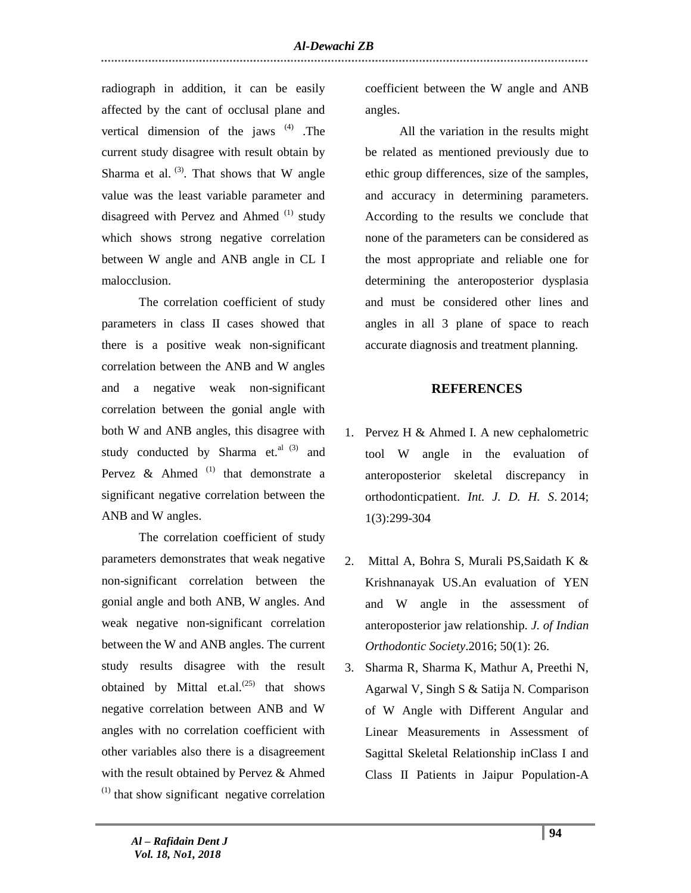radiograph in addition, it can be easily affected by the cant of occlusal plane and vertical dimension of the jaws  $(4)$ . The current study disagree with result obtain by Sharma et al.  $(3)$ . That shows that W angle value was the least variable parameter and disagreed with Pervez and Ahmed  $(1)$  study which shows strong negative correlation between W angle and ANB angle in CL I malocclusion.

 The correlation coefficient of study parameters in class II cases showed that there is a positive weak non-significant correlation between the ANB and W angles and a negative weak non-significant correlation between the gonial angle with both W and ANB angles, this disagree with study conducted by Sharma et. $a^{a}$  (3) and Pervez  $\&$  Ahmed<sup>(1)</sup> that demonstrate a significant negative correlation between the ANB and W angles.

 The correlation coefficient of study parameters demonstrates that weak negative non-significant correlation between the gonial angle and both ANB, W angles. And weak negative non-significant correlation between the W and ANB angles. The current study results disagree with the result obtained by Mittal et.al. $^{(25)}$  that shows negative correlation between ANB and W angles with no correlation coefficient with other variables also there is a disagreement with the result obtained by Pervez & Ahmed  $<sup>(1)</sup>$  that show significant negative correlation</sup> coefficient between the W angle and ANB angles.

 All the variation in the results might be related as mentioned previously due to ethic group differences, size of the samples, and accuracy in determining parameters. According to the results we conclude that none of the parameters can be considered as the most appropriate and reliable one for determining the anteroposterior dysplasia and must be considered other lines and angles in all 3 plane of space to reach accurate diagnosis and treatment planning.

## **REFERENCES**

- 1. Pervez H & Ahmed I. A new cephalometric tool W angle in the evaluation of anteroposterior skeletal discrepancy in orthodonticpatient. *Int. J. D. H. S*. 2014; 1(3):299-304
- 2. Mittal A, Bohra S, Murali PS,Saidath K & Krishnanayak US.An evaluation of YEN and W angle in the assessment of anteroposterior jaw relationship. *J. of Indian Orthodontic Society*.2016; 50(1): 26.
- 3. Sharma R, Sharma K, Mathur A, Preethi N, Agarwal V, Singh S & Satija N. Comparison of W Angle with Different Angular and Linear Measurements in Assessment of Sagittal Skeletal Relationship inClass I and Class II Patients in Jaipur Population-A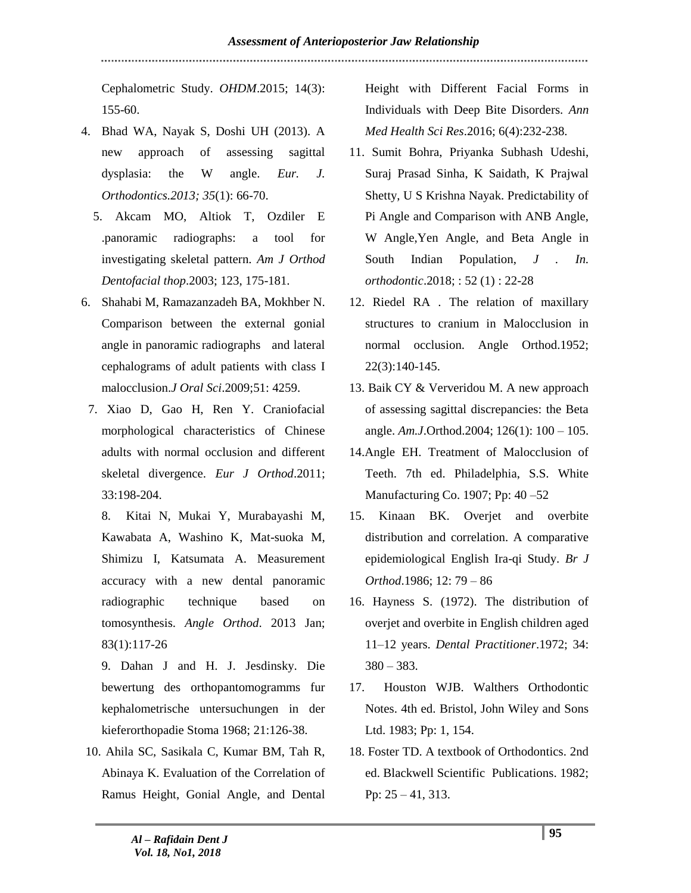Cephalometric Study. *OHDM*.2015; 14(3): 155-60.

- 4. Bhad WA, Nayak S, Doshi UH (2013). A new approach of assessing sagittal dysplasia: the W angle. *Eur. J. Orthodontics.2013; 35*(1): 66-70.
	- 5. Akcam MO, Altiok T, Ozdiler E .panoramic radiographs: a tool for investigating skeletal pattern. *Am J Orthod Dentofacial thop*.2003; 123, 175-181.
- 6. Shahabi M, Ramazanzadeh BA, Mokhber N. Comparison between the external gonial angle in panoramic radiographs and lateral cephalograms of adult patients with class I malocclusion.*J Oral Sci*.2009;51: 4259.
	- 7. Xiao D, Gao H, Ren Y. Craniofacial morphological characteristics of Chinese adults with normal occlusion and different skeletal divergence. *Eur J Orthod*.2011; 33:198-204.
		- 8. Kitai N, Mukai Y, Murabayashi M, Kawabata A, Washino K, Mat-suoka M, Shimizu I, Katsumata A. Measurement accuracy with a new dental panoramic radiographic technique based on tomosynthesis. *Angle Orthod*. 2013 Jan; 83(1):117-26
		- 9. Dahan J and H. J. Jesdinsky. Die bewertung des orthopantomogramms fur kephalometrische untersuchungen in der kieferorthopadie Stoma 1968; 21:126-38.
- 10. Ahila SC, Sasikala C, Kumar BM, Tah R, Abinaya K. Evaluation of the Correlation of Ramus Height, Gonial Angle, and Dental

Height with Different Facial Forms in Individuals with Deep Bite Disorders. *Ann Med Health Sci Res*.2016; 6(4):232-238.

- 11. Sumit Bohra, Priyanka Subhash Udeshi, Suraj Prasad Sinha, K Saidath, K Prajwal Shetty, U S Krishna Nayak. Predictability of Pi Angle and Comparison with ANB Angle, W Angle,Yen Angle, and Beta Angle in South Indian Population, *J . In. orthodontic*.2018; : 52 (1) : 22-28
- 12. Riedel RA . The relation of maxillary structures to cranium in Malocclusion in normal occlusion. Angle Orthod.1952; 22(3):140-145.
- 13. Baik CY & Ververidou M. A new approach of assessing sagittal discrepancies: the Beta angle. *Am.J*.Orthod.2004; 126(1): 100 – 105.
- 14.Angle EH. Treatment of Malocclusion of Teeth. 7th ed. Philadelphia, S.S. White Manufacturing Co. 1907; Pp: 40 –52
- 15. Kinaan BK. Overjet and overbite distribution and correlation. A comparative epidemiological English Ira-qi Study. *Br J Orthod*.1986; 12: 79 – 86
- 16. Hayness S. (1972). The distribution of overjet and overbite in English children aged 11–12 years. *Dental Practitioner*.1972; 34:  $380 - 383$ .
- 17. Houston WJB. Walthers Orthodontic Notes. 4th ed. Bristol, John Wiley and Sons Ltd. 1983; Pp: 1, 154.
- 18. Foster TD. A textbook of Orthodontics. 2nd ed. Blackwell Scientific Publications. 1982; Pp: 25 – 41, 313.